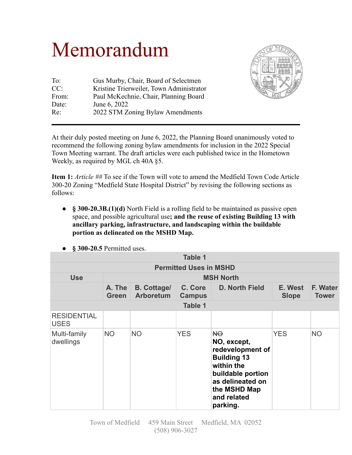## Memorandum

| To:    | Gus Murby, Chair, Board of Selectmen     |
|--------|------------------------------------------|
| CC:    | Kristine Trierweiler, Town Administrator |
| From:  | Paul McKechnie, Chair, Planning Board    |
| Date:  | June 6, 2022                             |
| $Re^+$ | 2022 STM Zoning Bylaw Amendments         |
|        |                                          |



At their duly posted meeting on June 6, 2022, the Planning Board unanimously voted to recommend the following zoning bylaw amendments for inclusion in the 2022 Special Town Meeting warrant. The draft articles were each published twice in the Hometown Weekly, as required by MGL ch 40A §5.

**Item 1:** *Article ##* To see if the Town will vote to amend the Medfield Town Code Article 300-20 Zoning "Medfield State Hospital District" by revising the following sections as follows:

● **§ 300-20.3B.(1)(d)** North Field is a rolling field to be maintained as passive open space, and possible agricultural use**; and the reuse of existing Building 13 with ancillary parking, infrastructure, and landscaping within the buildable portion as delineated on the MSHD Map.**

| <b>Table 1</b>                    |                          |                                        |                          |                                                                                                                                                               |                         |                          |  |  |
|-----------------------------------|--------------------------|----------------------------------------|--------------------------|---------------------------------------------------------------------------------------------------------------------------------------------------------------|-------------------------|--------------------------|--|--|
| <b>Permitted Uses in MSHD</b>     |                          |                                        |                          |                                                                                                                                                               |                         |                          |  |  |
| <b>Use</b>                        | <b>MSH North</b>         |                                        |                          |                                                                                                                                                               |                         |                          |  |  |
|                                   | $A.$ The<br><b>Green</b> | <b>B.</b> Cottage/<br><b>Arboretum</b> | C. Core<br><b>Campus</b> | D. North Field                                                                                                                                                | E. West<br><b>Slope</b> | F. Water<br><b>Tower</b> |  |  |
| <b>Table 1</b>                    |                          |                                        |                          |                                                                                                                                                               |                         |                          |  |  |
| <b>RESIDENTIAL</b><br><b>USES</b> |                          |                                        |                          |                                                                                                                                                               |                         |                          |  |  |
| Multi-family<br>dwellings         | <b>NO</b>                | <b>NO</b>                              | <b>YES</b>               | HO<br>NO, except,<br>redevelopment of<br><b>Building 13</b><br>within the<br>buildable portion<br>as delineated on<br>the MSHD Map<br>and related<br>parking. | <b>YES</b>              | <b>NO</b>                |  |  |

• **§ 300-20.5** Permitted uses.